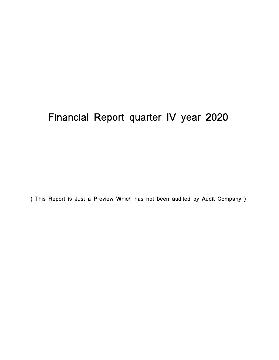# Financial Report quarter IV year 2020

( This Report is Just a Preview Which has not been audited by Audit Company )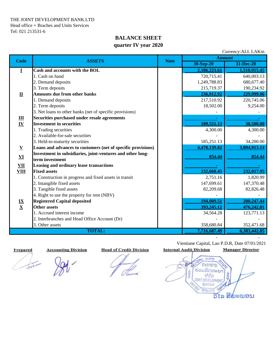THE JOINT DEVELOPMENT BANK.LTD Head office + Braches and Units Services Tel: 021 213531-6

# **BALANCE SHEET quarter IV year 2020**

| Currency: ALL LAKm                 |                                                              |             |               |              |  |
|------------------------------------|--------------------------------------------------------------|-------------|---------------|--------------|--|
| <b>Code</b>                        | <b>ASSETS</b>                                                | <b>Note</b> | <b>Amount</b> |              |  |
|                                    |                                                              | 30-Sep-20   | 31-Dec-20     |              |  |
| $\bf{I}$                           | Cash and accounts with the BOL                               |             | 2,186,223.61  | 1,510,915.45 |  |
|                                    | 1. Cash on hand                                              |             | 720,715.41    | 640,003.13   |  |
|                                    | 2. Demand deposits                                           |             | 1,249,788.83  | 680, 677. 40 |  |
|                                    | 3. Term deposits                                             |             | 215,719.37    | 190,234.92   |  |
| $\mathbf{\underline{u}}$           | <b>Amounts due from other banks</b>                          |             | 236,012.92    | 229,999.06   |  |
|                                    | 1. Demand deposits                                           |             | 217,510.92    | 220,745.06   |  |
|                                    | 2. Term deposits                                             |             | 18,502.00     | 9,254.00     |  |
|                                    | 3. Net loans to other banks (net of specific provisions)     |             |               |              |  |
| $\frac{\mathbf{III}}{\mathbf{IV}}$ | Securities purchased under resale agreements                 |             |               |              |  |
|                                    | <b>Investment in securities</b>                              |             | 189,551.13    | 38,500.00    |  |
|                                    | 1. Trading securities                                        |             | 4,300.00      | 4,300.00     |  |
|                                    | 2. Available-for-sale securities                             |             |               |              |  |
|                                    | 3. Held-to-maturity securities                               |             | 185,251.13    | 34,200.00    |  |
| $\underline{\mathbf{V}}$           | Loans and advances to customers (net of specific provisions) |             | 4,478,139.82  | 3,894,913.14 |  |
| VI                                 | Investment in subsidiaries, joint-ventures and other long-   |             | 854.44        | 854.44       |  |
|                                    | term investment                                              |             |               |              |  |
| <b>VII</b>                         | Leasing and ordinary lease transactions                      |             |               |              |  |
| <b>VIII</b>                        | <b>Fixed assets</b>                                          |             | 232,660.45    | 232,017.95   |  |
|                                    | 1. Construction in progress and fixed assets in transit      |             | 2,751.16      | 1,820.99     |  |
|                                    | 2. Intangible fixed assets                                   |             | 147,699.61    | 147,370.48   |  |
|                                    | 3. Tangible fixed assets                                     |             | 82,209.68     | 82,826.48    |  |
|                                    | 4. Right to use the property for rent (NBV)                  |             |               |              |  |
| $\frac{IX}{X}$                     | <b>Registered Capital deposited</b>                          |             | 194,009.51    | 200,247.44   |  |
|                                    | <b>Other assets</b>                                          |             | 393,245.12    | 476,242.81   |  |
|                                    | 1. Accrued interest income                                   |             | 34,564.28     | 123,771.13   |  |
|                                    | 2. Interbranches and Head Office Account (Dr)                |             |               |              |  |
|                                    | 3. Other assets                                              |             | 358,680.84    | 352,471.68   |  |
|                                    | <b>TOTAL:</b>                                                |             |               | 6,383,442.85 |  |

سيران

 Vientiane Capital, Lao P.D.R, Date 07/01/2021  **Prepared Accounting Division Head of Credit Division Internal Audit Division Manager Director**

- -

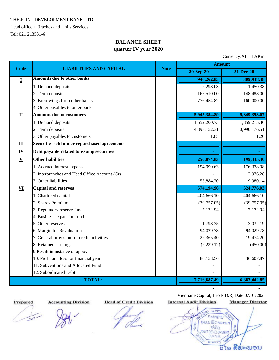THE JOINT DEVELOPMENT BANK.LTD

Head office + Braches and Units Services Tel: 021 213531-6

# **BALANCE SHEET quarter IV year 2020**

Currency:ALL LAKm

|                           | <b>LIABILITIES AND CAPILAL</b>                |             | <b>Amount</b> |              |  |  |
|---------------------------|-----------------------------------------------|-------------|---------------|--------------|--|--|
| <b>Code</b>               |                                               | <b>Note</b> | 30-Sep-20     | 31-Dec-20    |  |  |
| $\bf{I}$                  | <b>Amounts due to other banks</b>             |             | 946,262.85    | 309,938.38   |  |  |
|                           | 1. Demand deposits                            |             | 2,298.03      | 1,450.38     |  |  |
|                           | 2. Term deposits                              |             | 167,510.00    | 148,488.00   |  |  |
|                           | 3. Borrowings from other banks                |             | 776,454.82    | 160,000.00   |  |  |
|                           | 4. Other payables to other banks              |             |               |              |  |  |
| $\mathbf{I}$              | <b>Amounts due to customers</b>               |             | 5,945,354.89  | 5,349,393.07 |  |  |
|                           | 1. Demand deposits                            |             | 1,552,200.73  | 1,359,215.36 |  |  |
|                           | 2. Term deposits                              |             | 4,393,152.31  | 3,990,176.51 |  |  |
|                           | 3. Other payables to customers                |             | 1.85          | 1.20         |  |  |
| Ш                         | Securities sold under repurchased agreements  |             |               |              |  |  |
| $\underline{\mathbf{IV}}$ | Debt payable related to issuing securities    |             |               |              |  |  |
| $\mathbf{V}$              | <b>Other liabilities</b>                      |             | 250,874.83    | 199,335.40   |  |  |
|                           | 1. Accrued interest expense                   |             | 194,990.63    | 176,378.98   |  |  |
|                           | 2. Interbranches and Head Office Account (Cr) |             |               | 2,976.28     |  |  |
|                           | 3. Other liabilities                          |             | 55,884.20     | 19,980.14    |  |  |
| $\mathbf{V}$              | <b>Capital and reserves</b>                   |             | 574,194.96    | 524,776.03   |  |  |
|                           | 1. Chartered capital                          |             | 404,666.10    | 404,666.10   |  |  |
|                           | 2. Shares Premium                             |             | (39,757.05)   | (39,757.05)  |  |  |
|                           | 3. Regulatory reserve fund                    |             | 7,172.94      | 7,172.94     |  |  |
|                           | 4. Business expansion fund                    |             |               |              |  |  |
|                           | 5. Other reserves                             |             | 1,798.35      | 3,032.19     |  |  |
|                           | 6. Margin for Revaluations                    |             | 94,029.78     | 94,029.78    |  |  |
|                           | 7. General provision for credit activities    |             | 22,365.40     | 19,474.20    |  |  |
|                           | 8. Retained earnings                          |             | (2,239.12)    | (450.00)     |  |  |
|                           | 9. Result in instance of appoval              |             |               |              |  |  |
|                           | 10. Profit and loss for financial year        |             | 86,158.56     | 36,607.87    |  |  |
|                           | 11. Subventions and Allocated Fund            |             |               |              |  |  |
|                           | 12. Subordinated Debt                         |             |               |              |  |  |
|                           | <b>TOTAL:</b>                                 |             | 7,716,687.49  | 6,383,442.85 |  |  |

 $\frac{1}{\sqrt{1-\frac{1}{2}}\sqrt{1-\frac{1}{2}}}$ 

 **Prepared Accounting Division Head of Credit Division Internal Audit Division Manager Director**

Vientiane Capital, Lao P.D.R, Date 07/01/2021



 $cos<sub>2</sub>$ คะบาดาบ ຮ່ວມພັດທະນາ 业 ຈຳກັດ OINT **DEVELOPMENT BANK** ຫລວງ ສີພະພອນ ວີໂລ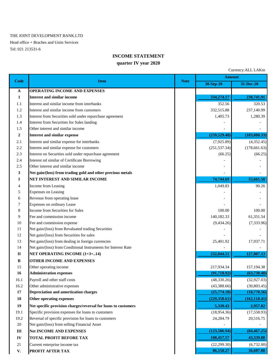#### THE JOINT DEVELOPMENT BANK.LTD

Head office + Braches and Units Services Tel: 021 213531-6

#### **INCOME STATEMENT**

### **quarter IV year 2020**

Currency:ALL LAKm

| Code             | <b>Item</b>                                                    | <b>Note</b> | <b>Amount</b> |               |
|------------------|----------------------------------------------------------------|-------------|---------------|---------------|
|                  |                                                                |             | 30-Sep-20     | 31-Dec-20     |
| A                | OPERATING INCOME AND EXPENSES                                  |             |               |               |
| 1                | <b>Interest and similar income</b>                             |             | 334,274.17    | 238,741.91    |
| 1.1              | Interest and similar income from interbanks                    |             | 352.56        | 320.53        |
| 1.2              | Interest and similar income from customers                     |             | 332,515.88    | 237,140.99    |
| 1.3              | Interest from Securities sold under repurchase agreement       |             | 1,405.73      | 1,280.39      |
| 1.4              | Interest from Securities for Sales landing                     |             |               |               |
| 1.5              | Other interest and similar income                              |             |               |               |
| $\boldsymbol{2}$ | <b>Interest and similar expense</b>                            |             | (259, 529.48) | (183,080.33)  |
| 2.1              | Interest and similar expense for interbanks                    |             | (7,925.89)    | (4,352.45)    |
| 2.2              | Interest and similar expense for customers                     |             | (251, 537.34) | (178, 661.63) |
| 2.3              | Interest on Securities sold under repurchase agreement         |             | (66.25)       | (66.25)       |
| 2.4              | Interest nd similar of Certificate Borrowing                   |             |               |               |
| 2.5              | Other interest and similar income                              |             |               |               |
| 3                | Net gain/(loss) from trading gold and other precious metals    |             |               |               |
| I                | NET INTEREST AND SIMILAR INCOME                                |             | 74,744.69     | 55,661.58     |
| 4                | Income from Leasing                                            |             | 1,049.83      | 90.26         |
| 5                | <b>Expenses on Leasing</b>                                     |             |               |               |
| 6                | Revenue from operating lease                                   |             |               |               |
| 7                | <b>Expenses on ordinary Lease</b>                              |             |               |               |
| 8                | Income from Securities for Sales                               |             | 100.00        | 100.00        |
| 9                | Fee and commission income                                      |             | 140,182.33    | 61,351.54     |
| 10               | Fee and commission expense                                     |             | (9,434.26)    | (7, 333.96)   |
| 11               | Net gain/(loss) from Revaluated trading Securities             |             |               |               |
| 12               | Net gain/(loss) from Securities for sales                      |             |               |               |
| 13               | Net gain/(loss) from dealing in foreign currencies             |             | 25,401.92     | 17,937.71     |
| 14               | Net gain/(loss) from Conditional Instruments for Interesr Rate |             |               |               |
| $\mathbf{I}$     | <b>NET OPERATING INCOME (1+3+14)</b>                           |             | 232,044.51    | 127,807.13    |
| B                | <b>OTHER INCOME AND EXPENSES</b>                               |             |               |               |
| 15               | Other operating income                                         |             | 217,934.34    | 157,194.38    |
| 16               | <b>Administration expenses</b>                                 |             | (91, 718.92)  | (63, 730.48)  |
| 16.1             | Payroll and other staff costs                                  |             | (48, 330.26)  | (32, 927.03)  |
| 16.2             | Other administrative expenses                                  |             | (43, 388.66)  | (30, 803.45)  |
| 17               | Depreciation and amortization charges                          |             | (25,774.18)   | (18,770.56)   |
| 18               | Other operating expenses                                       |             | (229, 358.61) | (162, 118.41) |
| 19               | Net specific provision charges/reversal for loans to customers |             | 5,330.43      | 2,957.82      |
| 19.1             | Specific provision expenses for loans to customers             |             | (18,954.36)   | (17,558.93)   |
| 19.2             | Reversal of specific provision for loans to customers          |             | 24,284.79     | 20,516.75     |
| 20               | Net gain/(loss) from selling Financial Asset                   |             |               |               |
| $\rm III$        | <b>Net INCOME AND EXPENSES</b>                                 |             | (123, 586.94) | (84, 467.25)  |
| ${\bf IV}$       | <b>TOTAL PROFIT BEFORE TAX</b>                                 |             | 108,457.57    | 43,339.88     |
| $21\,$           | Current enterprise income tax                                  |             | (22, 299.30)  | (6,732.00)    |
| V.               | PROFIT AFTER TAX                                               |             | 86,158.27     | 36,607.88     |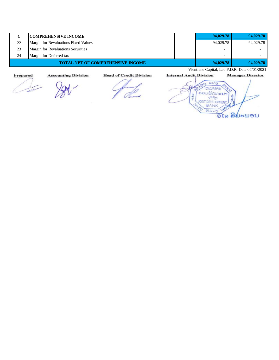| C        | <b>COMPREHENSIVE INCOME</b>                                  |                                | 94,029.78                                     | 94,029.78                |
|----------|--------------------------------------------------------------|--------------------------------|-----------------------------------------------|--------------------------|
| 22       | Margin for Revaluations Fixed Values                         |                                | 94,029.78                                     | 94,029.78                |
| 23       | Margin for Revaluations Securities                           |                                | $\overline{\phantom{a}}$                      |                          |
| 24       | Margin for Deferred tax                                      |                                | $\blacksquare$                                | $\overline{\phantom{0}}$ |
|          | <b>TOTAL NET OF COMPREHENSIVE INCOME</b>                     |                                | 94,029.78                                     | 94,029.78                |
|          |                                                              |                                | Vientiane Capital, Lao P.D.R, Date 07/01/2021 |                          |
| Prepared | <b>Head of Credit Division</b><br><b>Accounting Division</b> | <b>Internal Audit Division</b> |                                               | <b>Manager Director</b>  |
|          |                                                              |                                |                                               |                          |

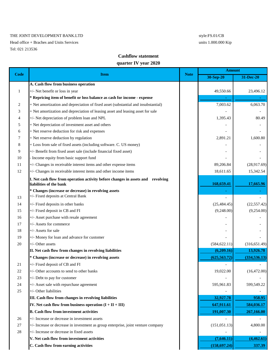#### THE JOINT DEVELOPMENT BANK.LTD style:FS.01/CB

Head office + Braches and Units Services units 1.000.000 Kip Tel: 021 213536

### **Cashflow statement**

#### **quarter IV year 2020**

|      |                                                                                                            | <b>Note</b> | <b>Amount</b> |               |
|------|------------------------------------------------------------------------------------------------------------|-------------|---------------|---------------|
| Code | <b>Item</b>                                                                                                |             | 30-Sep-20     | 31-Dec-20     |
|      | A. Cash flow from business operation                                                                       |             |               |               |
| 1    | +/- Net benefit or loss in year                                                                            |             | 49,550.66     | 23,496.12     |
|      | * Repricing item of benefit or loss balance as cash for income - expense                                   |             |               |               |
| 2    | + Net amortization and depreciation of fixed asset (substantial and insubstantial)                         |             | 7,003.62      | 6,063.70      |
| 3    | + Net amortization and depreciation of leasing asset and leasing asset for sale                            |             |               |               |
| 4    | +/- Net depreciation of problem loan and NPL                                                               |             | 1,395.43      | 80.49         |
| 5    | + Net depreciation of investment asset and others                                                          |             |               |               |
| 6    | + Net reserve deduction for risk and expenses                                                              |             |               |               |
| 7    | + Net reserve deduction by regulation                                                                      |             | 2,891.21      | 1,600.80      |
| 8    | + Loss from sale of fixed assets (including software. C. US money)                                         |             |               |               |
| 9    | +/- Benefit from fixed asset sale (include financial fixed asset)                                          |             |               |               |
| 10   | Income equity from basic support fund                                                                      |             |               |               |
| 11   | +/- Changes in receivable interest items and other expense items                                           |             | 89,206.84     | (28,917.69)   |
| 12   | +/- Changes in receivable interest items and other income items                                            |             | 18,611.65     | 15,342.54     |
|      | I. Net cash flow from operation activity before changes in assets and revolving<br>liabilities of the bank |             | 168,659.41    | 17,665.96     |
|      | * Changes (increase or decrease) in revolving assets                                                       |             |               |               |
| 13   | +/- Fixed deposits at Central Bank                                                                         |             |               |               |
| 14   | +/- Fixed deposits in other banks                                                                          |             | (25, 484.45)  | (22, 557.42)  |
| 15   | +/- Fixed deposit in CB and FI                                                                             |             | (9,248.00)    | (9,254.00)    |
| 16   | +/- Asset purchase with resale agreement                                                                   |             |               |               |
| 17   | +/- Assets for commerce                                                                                    |             |               |               |
| 18   | +/- Assets for sale                                                                                        |             |               |               |
| 19   | +/- Money for loan and advance for customer                                                                |             |               |               |
| 20   | $+/-$ Other assets                                                                                         |             | (584, 622.11) | (316, 651.49) |
|      | II. Net cash flow from changes in revolving liabilities                                                    |             | (6,209.16)    | 13,926.78     |
|      | * Changes (increase or decrease) in revolving assets                                                       |             | (625, 563.72) | (334, 536.13) |
| 21   | +/- Fixed deposit of CB and FI                                                                             |             |               |               |
| 22   | $+/-$ Other accounts to send to other banks                                                                |             | 19,022.00     | (16, 472.00)  |
| 23   | +/- Debt to pay for customer                                                                               |             |               |               |
| 24   | +/- Asset sale with repurchase agreement                                                                   |             | 595,961.83    | 599,549.22    |
| 25   | +/- Other liabilities                                                                                      |             |               |               |
|      | III. Cash flow from changes in revolving liabilities                                                       |             | 32,927.78     | 958.95        |
|      | IV. Net cash flow from business operation $(I + II + III)$                                                 |             | 647,911.61    | 584,036.17    |
|      | <b>B.</b> Cash flow from investment activities                                                             |             | 191,007.30    | 267,166.00    |
| 26   | +/- Increase or decrease in investment assets                                                              |             |               |               |
| 27   | +/- Increase or decrease in investment as group enterprise, joint venture company                          |             | (151, 051.13) | 4,800.00      |
| 28   | +/- Increase or decrease in fixed assets                                                                   |             |               |               |
|      | V. Net cash flow from investment activities                                                                |             | (7,646.11)    | (4,462.61)    |
|      | C. Cash flow from earning activities                                                                       |             | (158, 697.24) | 337.39        |